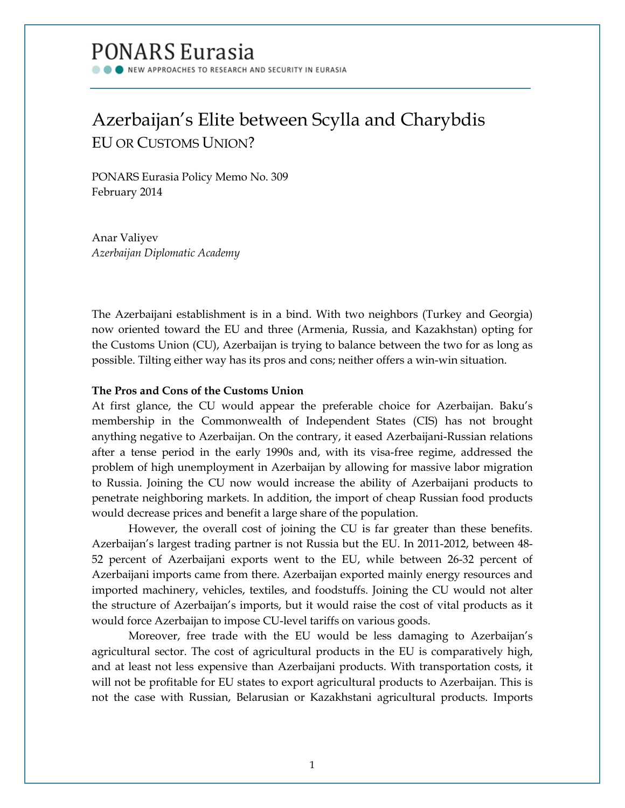# **PONARS Eurasia**

NEW APPROACHES TO RESEARCH AND SECURITY IN EURASIA

# Azerbaijan's Elite between Scylla and Charybdis EU OR CUSTOMS UNION?

PONARS Eurasia Policy Memo No. 309 February 2014

Anar Valiyev *Azerbaijan Diplomatic Academy*

The Azerbaijani establishment is in a bind. With two neighbors (Turkey and Georgia) now oriented toward the EU and three (Armenia, Russia, and Kazakhstan) opting for the Customs Union (CU), Azerbaijan is trying to balance between the two for as long as possible. Tilting either way has its pros and cons; neither offers a win-win situation.

## **The Pros and Cons of the Customs Union**

At first glance, the CU would appear the preferable choice for Azerbaijan. Baku's membership in the Commonwealth of Independent States (CIS) has not brought anything negative to Azerbaijan. On the contrary, it eased Azerbaijani-Russian relations after a tense period in the early 1990s and, with its visa-free regime, addressed the problem of high unemployment in Azerbaijan by allowing for massive labor migration to Russia. Joining the CU now would increase the ability of Azerbaijani products to penetrate neighboring markets. In addition, the import of cheap Russian food products would decrease prices and benefit a large share of the population.

However, the overall cost of joining the CU is far greater than these benefits. Azerbaijan's largest trading partner is not Russia but the EU. In 2011-2012, between 48- 52 percent of Azerbaijani exports went to the EU, while between 26-32 percent of Azerbaijani imports came from there. Azerbaijan exported mainly energy resources and imported machinery, vehicles, textiles, and foodstuffs. Joining the CU would not alter the structure of Azerbaijan's imports, but it would raise the cost of vital products as it would force Azerbaijan to impose CU-level tariffs on various goods.

Moreover, free trade with the EU would be less damaging to Azerbaijan's agricultural sector. The cost of agricultural products in the EU is comparatively high, and at least not less expensive than Azerbaijani products. With transportation costs, it will not be profitable for EU states to export agricultural products to Azerbaijan. This is not the case with Russian, Belarusian or Kazakhstani agricultural products. Imports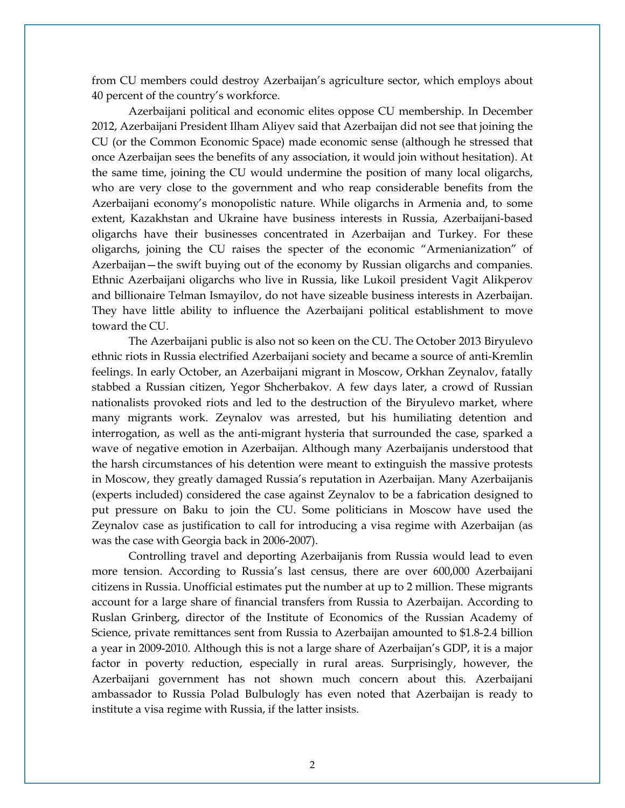from CU members could destroy Azerbaijan's agriculture sector, which employs about 40 percent of the country's workforce.

Azerbaijani political and economic elites oppose CU membership. In December 2012, Azerbaijani President Ilham Aliyev said that Azerbaijan did not see that joining the CU (or the Common Economic Space) made economic sense (although he stressed that once Azerbaijan sees the benefits of any association, it would join without hesitation). At the same time, joining the CU would undermine the position of many local oligarchs, who are very close to the government and who reap considerable benefits from the Azerbaijani economy's monopolistic nature. While oligarchs in Armenia and, to some extent, Kazakhstan and Ukraine have business interests in Russia, Azerbaijani-based oligarchs have their businesses concentrated in Azerbaijan and Turkey. For these oligarchs, joining the CU raises the specter of the economic "Armenianization" of Azerbaijan—the swift buying out of the economy by Russian oligarchs and companies. Ethnic Azerbaijani oligarchs who live in Russia, like Lukoil president Vagit Alikperov and billionaire Telman Ismayilov, do not have sizeable business interests in Azerbaijan. They have little ability to influence the Azerbaijani political establishment to move toward the CU.

The Azerbaijani public is also not so keen on the CU. The October 2013 Biryulevo ethnic riots in Russia electrified Azerbaijani society and became a source of anti-Kremlin feelings. In early October, an Azerbaijani migrant in Moscow, Orkhan Zeynalov, fatally stabbed a Russian citizen, Yegor Shcherbakov. A few days later, a crowd of Russian nationalists provoked riots and led to the destruction of the Biryulevo market, where many migrants work. Zeynalov was arrested, but his humiliating detention and interrogation, as well as the anti-migrant hysteria that surrounded the case, sparked a wave of negative emotion in Azerbaijan. Although many Azerbaijanis understood that the harsh circumstances of his detention were meant to extinguish the massive protests in Moscow, they greatly damaged Russia's reputation in Azerbaijan. Many Azerbaijanis (experts included) considered the case against Zeynalov to be a fabrication designed to put pressure on Baku to join the CU. Some politicians in Moscow have used the Zeynalov case as justification to call for introducing a visa regime with Azerbaijan (as was the case with Georgia back in 2006-2007).

Controlling travel and deporting Azerbaijanis from Russia would lead to even more tension. According to Russia's last census, there are over 600,000 Azerbaijani citizens in Russia. Unofficial estimates put the number at up to 2 million. These migrants account for a large share of financial transfers from Russia to Azerbaijan. According to Ruslan Grinberg, director of the Institute of Economics of the Russian Academy of Science, private remittances sent from Russia to Azerbaijan amounted to \$1.8-2.4 billion a year in 2009-2010. Although this is not a large share of Azerbaijan's GDP, it is a major factor in poverty reduction, especially in rural areas. Surprisingly, however, the Azerbaijani government has not shown much concern about this. Azerbaijani ambassador to Russia Polad Bulbulogly has even noted that Azerbaijan is ready to institute a visa regime with Russia, if the latter insists.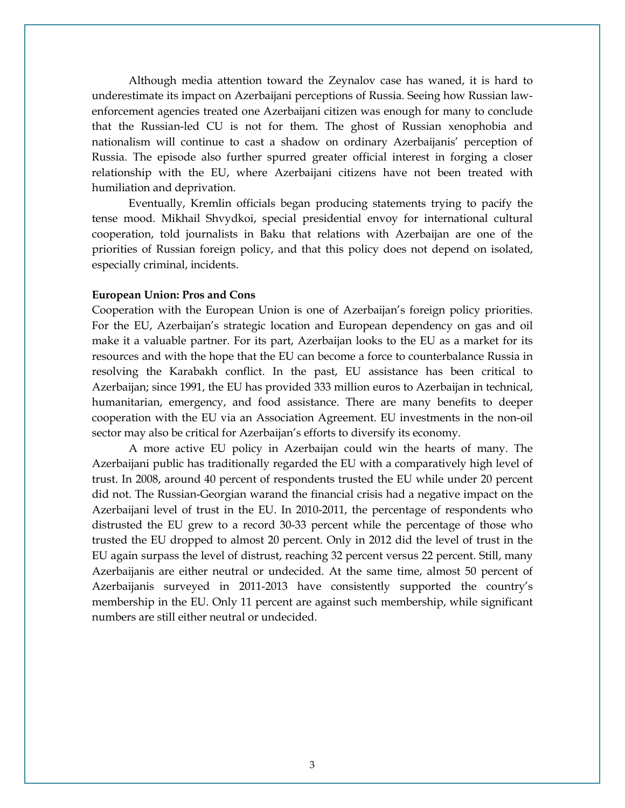Although media attention toward the Zeynalov case has waned, it is hard to underestimate its impact on Azerbaijani perceptions of Russia. Seeing how Russian lawenforcement agencies treated one Azerbaijani citizen was enough for many to conclude that the Russian-led CU is not for them. The ghost of Russian xenophobia and nationalism will continue to cast a shadow on ordinary Azerbaijanis' perception of Russia. The episode also further spurred greater official interest in forging a closer relationship with the EU, where Azerbaijani citizens have not been treated with humiliation and deprivation.

Eventually, Kremlin officials began producing statements trying to pacify the tense mood. Mikhail Shvydkoi, special presidential envoy for international cultural cooperation, told journalists in Baku that relations with Azerbaijan are one of the priorities of Russian foreign policy, and that this policy does not depend on isolated, especially criminal, incidents.

### **European Union: Pros and Cons**

Cooperation with the European Union is one of Azerbaijan's foreign policy priorities. For the EU, Azerbaijan's strategic location and European dependency on gas and oil make it a valuable partner. For its part, Azerbaijan looks to the EU as a market for its resources and with the hope that the EU can become a force to counterbalance Russia in resolving the Karabakh conflict. In the past, EU assistance has been critical to Azerbaijan; since 1991, the EU has provided 333 million euros to Azerbaijan in technical, humanitarian, emergency, and food assistance. There are many benefits to deeper cooperation with the EU via an Association Agreement. EU investments in the non-oil sector may also be critical for Azerbaijan's efforts to diversify its economy.

A more active EU policy in Azerbaijan could win the hearts of many. The Azerbaijani public has traditionally regarded the EU with a comparatively high level of trust. In 2008, around 40 percent of respondents trusted the EU while under 20 percent did not. The Russian-Georgian warand the financial crisis had a negative impact on the Azerbaijani level of trust in the EU. In 2010-2011, the percentage of respondents who distrusted the EU grew to a record 30-33 percent while the percentage of those who trusted the EU dropped to almost 20 percent. Only in 2012 did the level of trust in the EU again surpass the level of distrust, reaching 32 percent versus 22 percent. Still, many Azerbaijanis are either neutral or undecided. At the same time, almost 50 percent of Azerbaijanis surveyed in 2011-2013 have consistently supported the country's membership in the EU. Only 11 percent are against such membership, while significant numbers are still either neutral or undecided.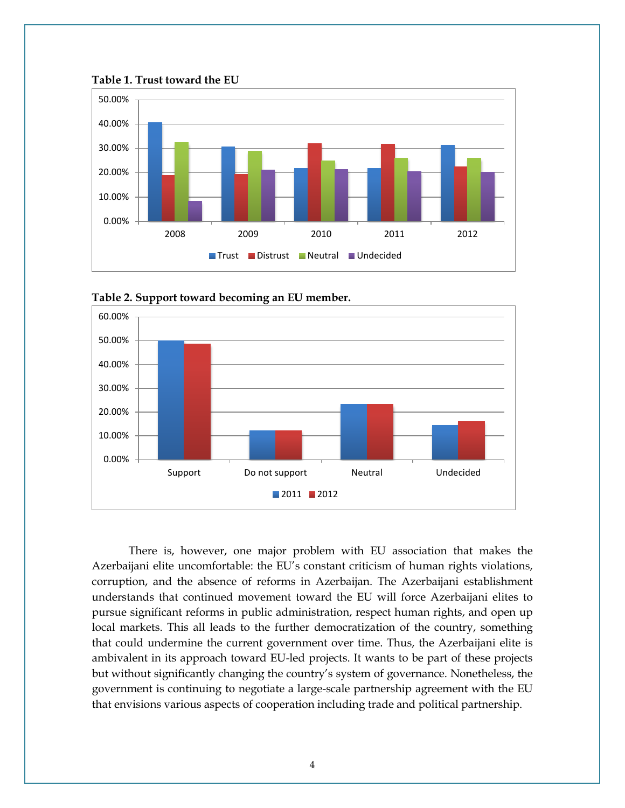



**Table 2. Support toward becoming an EU member.** 

0.00%

10.00%

20.00%

30.00%

There is, however, one major problem with EU association that makes the Azerbaijani elite uncomfortable: the EU's constant criticism of human rights violations, corruption, and the absence of reforms in Azerbaijan. The Azerbaijani establishment understands that continued movement toward the EU will force Azerbaijani elites to pursue significant reforms in public administration, respect human rights, and open up local markets. This all leads to the further democratization of the country, something that could undermine the current government over time. Thus, the Azerbaijani elite is ambivalent in its approach toward EU-led projects. It wants to be part of these projects but without significantly changing the country's system of governance. Nonetheless, the government is continuing to negotiate a large-scale partnership agreement with the EU that envisions various aspects of cooperation including trade and political partnership.

Support Do not support Neutral Undecided

■ 2011 ■ 2012